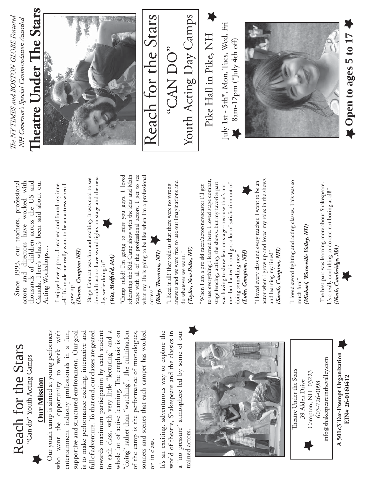

Reach for the Stars Reach for the Stars Can do" Youth Acting Camps "Can do" Youth Acting Camps



Our youth camp is aimed at young performers who want the opportunity to work with entertainment industry professionals in a fun, supportive and structured environment. Our goal is to make performance exciting, interactive and full of adventure. To that end, our classes are geared cowards maximum participation by each student towards maximum participation by each student in each class, with very little "lecturing" and a in each class, with very little "lecturing" and a whole lot of active learning. The emphasis is on "doing" rather than "watching". The culmination of the camp is the performance of monologues, sonnets and scenes that each camper has worked Our youth camp is aimed at young performers entertainment industry professionals in a fun, full of adventure. To that end, our classes are geared whole lot of active learning. The emphasis is on "doing" rather than "watching". The culmination who want the opportunity to work with supportive and structured environment. Our goal is to make performance exciting, interactive and sonnets and scenes that each camper has worked of the camp is the performance of monologues, on in class. on in class.

It's an exciting, adventurous way to explore the world of theatre, Shakespeare and the classics in a "no pressure" atmosphere led by some of our It's an exciting, adventurous way to explore the world of theatre, Shakespeare and the classics in a "no pressure" atmosphere led by some of our trained actors. trained actors.





39 Alden Drive

39 Alden Drive

603-726-0098

603-726-0098